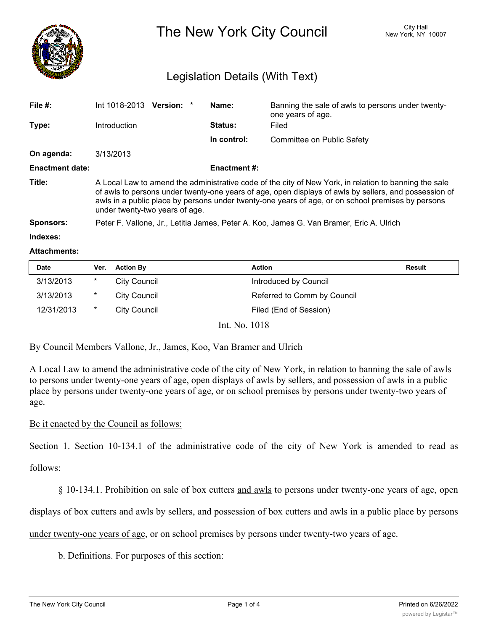

The New York City Council New York, NY 10007

# Legislation Details (With Text)

| File $#$ :             | Int 1018-2013                                                                                                                                                                                                                                                                                                                                         | <b>Version:</b> |  | Name:               | Banning the sale of awls to persons under twenty-<br>one years of age. |  |
|------------------------|-------------------------------------------------------------------------------------------------------------------------------------------------------------------------------------------------------------------------------------------------------------------------------------------------------------------------------------------------------|-----------------|--|---------------------|------------------------------------------------------------------------|--|
| Type:                  | Introduction                                                                                                                                                                                                                                                                                                                                          |                 |  | Status:             | Filed                                                                  |  |
|                        |                                                                                                                                                                                                                                                                                                                                                       |                 |  | In control:         | Committee on Public Safety                                             |  |
| On agenda:             | 3/13/2013                                                                                                                                                                                                                                                                                                                                             |                 |  |                     |                                                                        |  |
| <b>Enactment date:</b> |                                                                                                                                                                                                                                                                                                                                                       |                 |  | <b>Enactment #:</b> |                                                                        |  |
| Title:                 | A Local Law to amend the administrative code of the city of New York, in relation to banning the sale<br>of awls to persons under twenty-one years of age, open displays of awls by sellers, and possession of<br>awls in a public place by persons under twenty-one years of age, or on school premises by persons<br>under twenty-two years of age. |                 |  |                     |                                                                        |  |
| <b>Sponsors:</b>       | Peter F. Vallone, Jr., Letitia James, Peter A. Koo, James G. Van Bramer, Eric A. Ulrich                                                                                                                                                                                                                                                               |                 |  |                     |                                                                        |  |
| Indexes:               |                                                                                                                                                                                                                                                                                                                                                       |                 |  |                     |                                                                        |  |

#### **Attachments:**

| Date       | Ver.    | <b>Action By</b>     | Action                      | Result |
|------------|---------|----------------------|-----------------------------|--------|
| 3/13/2013  | *       | City Council         | Introduced by Council       |        |
| 3/13/2013  | *       | City Council         | Referred to Comm by Council |        |
| 12/31/2013 | $\star$ | <b>City Council</b>  | Filed (End of Session)      |        |
|            |         | $T \times 3T = 4040$ |                             |        |

Int. No. 1018

By Council Members Vallone, Jr., James, Koo, Van Bramer and Ulrich

A Local Law to amend the administrative code of the city of New York, in relation to banning the sale of awls to persons under twenty-one years of age, open displays of awls by sellers, and possession of awls in a public place by persons under twenty-one years of age, or on school premises by persons under twenty-two years of age.

### Be it enacted by the Council as follows:

Section 1. Section 10-134.1 of the administrative code of the city of New York is amended to read as

follows:

§ 10-134.1. Prohibition on sale of box cutters and awls to persons under twenty-one years of age, open

displays of box cutters and awls by sellers, and possession of box cutters and awls in a public place by persons

under twenty-one years of age, or on school premises by persons under twenty-two years of age.

b. Definitions. For purposes of this section: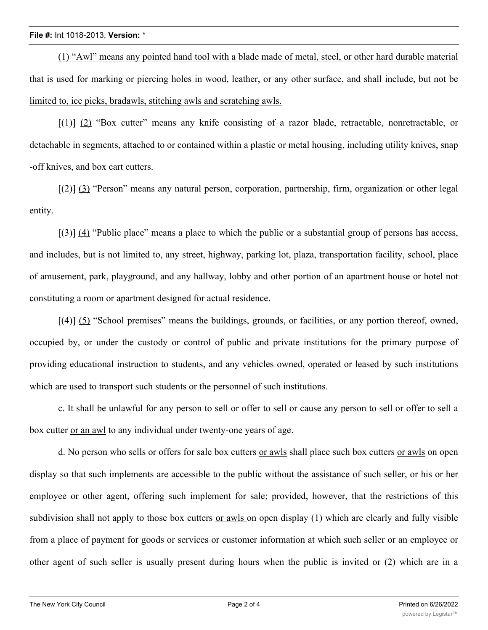#### **File #:** Int 1018-2013, **Version:** \*

(1) "Awl" means any pointed hand tool with a blade made of metal, steel, or other hard durable material that is used for marking or piercing holes in wood, leather, or any other surface, and shall include, but not be limited to, ice picks, bradawls, stitching awls and scratching awls.

[(1)] (2) "Box cutter" means any knife consisting of a razor blade, retractable, nonretractable, or detachable in segments, attached to or contained within a plastic or metal housing, including utility knives, snap -off knives, and box cart cutters.

[(2)] (3) "Person" means any natural person, corporation, partnership, firm, organization or other legal entity.

[(3)] (4) "Public place" means a place to which the public or a substantial group of persons has access, and includes, but is not limited to, any street, highway, parking lot, plaza, transportation facility, school, place of amusement, park, playground, and any hallway, lobby and other portion of an apartment house or hotel not constituting a room or apartment designed for actual residence.

[(4)] (5) "School premises" means the buildings, grounds, or facilities, or any portion thereof, owned, occupied by, or under the custody or control of public and private institutions for the primary purpose of providing educational instruction to students, and any vehicles owned, operated or leased by such institutions which are used to transport such students or the personnel of such institutions.

c. It shall be unlawful for any person to sell or offer to sell or cause any person to sell or offer to sell a box cutter or an awl to any individual under twenty-one years of age.

d. No person who sells or offers for sale box cutters or awls shall place such box cutters or awls on open display so that such implements are accessible to the public without the assistance of such seller, or his or her employee or other agent, offering such implement for sale; provided, however, that the restrictions of this subdivision shall not apply to those box cutters or awls on open display (1) which are clearly and fully visible from a place of payment for goods or services or customer information at which such seller or an employee or other agent of such seller is usually present during hours when the public is invited or (2) which are in a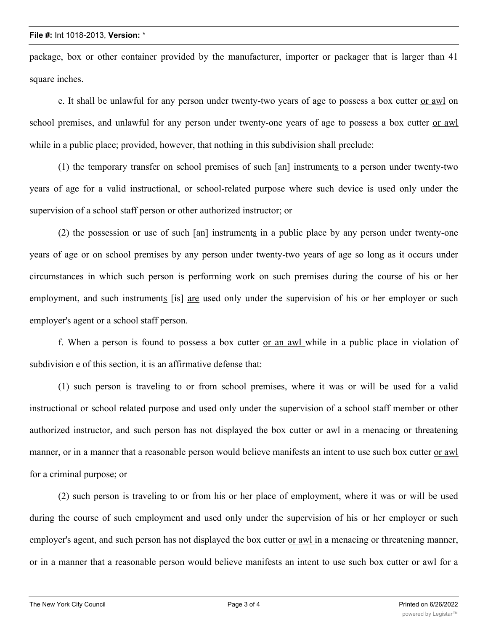#### **File #:** Int 1018-2013, **Version:** \*

package, box or other container provided by the manufacturer, importer or packager that is larger than 41 square inches.

e. It shall be unlawful for any person under twenty-two years of age to possess a box cutter or awl on school premises, and unlawful for any person under twenty-one years of age to possess a box cutter or awl while in a public place; provided, however, that nothing in this subdivision shall preclude:

(1) the temporary transfer on school premises of such [an] instruments to a person under twenty-two years of age for a valid instructional, or school-related purpose where such device is used only under the supervision of a school staff person or other authorized instructor; or

(2) the possession or use of such [an] instruments in a public place by any person under twenty-one years of age or on school premises by any person under twenty-two years of age so long as it occurs under circumstances in which such person is performing work on such premises during the course of his or her employment, and such instruments [is] are used only under the supervision of his or her employer or such employer's agent or a school staff person.

f. When a person is found to possess a box cutter or an awl while in a public place in violation of subdivision e of this section, it is an affirmative defense that:

(1) such person is traveling to or from school premises, where it was or will be used for a valid instructional or school related purpose and used only under the supervision of a school staff member or other authorized instructor, and such person has not displayed the box cutter or awl in a menacing or threatening manner, or in a manner that a reasonable person would believe manifests an intent to use such box cutter or awl for a criminal purpose; or

(2) such person is traveling to or from his or her place of employment, where it was or will be used during the course of such employment and used only under the supervision of his or her employer or such employer's agent, and such person has not displayed the box cutter <u>or awl</u> in a menacing or threatening manner, or in a manner that a reasonable person would believe manifests an intent to use such box cutter or awl for a